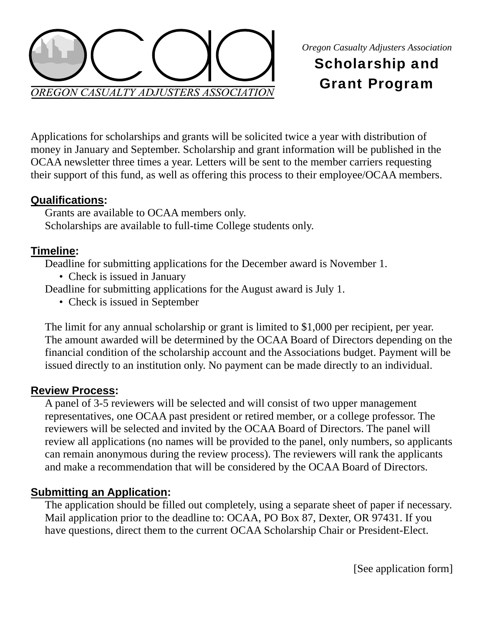

# Scholarship and Grant Program

Applications for scholarships and grants will be solicited twice a year with distribution of money in January and September. Scholarship and grant information will be published in the OCAA newsletter three times a year. Letters will be sent to the member carriers requesting their support of this fund, as well as offering this process to their employee/OCAA members.

### **Qualifications:**

Grants are available to OCAA members only. Scholarships are available to full-time College students only.

### **Timeline:**

Deadline for submitting applications for the December award is November 1.

• Check is issued in January

Deadline for submitting applications for the August award is July 1.

• Check is issued in September

The limit for any annual scholarship or grant is limited to \$1,000 per recipient, per year. The amount awarded will be determined by the OCAA Board of Directors depending on the financial condition of the scholarship account and the Associations budget. Payment will be issued directly to an institution only. No payment can be made directly to an individual.

# **Review Process:**

A panel of 3-5 reviewers will be selected and will consist of two upper management representatives, one OCAA past president or retired member, or a college professor. The reviewers will be selected and invited by the OCAA Board of Directors. The panel will review all applications (no names will be provided to the panel, only numbers, so applicants can remain anonymous during the review process). The reviewers will rank the applicants and make a recommendation that will be considered by the OCAA Board of Directors.

# **Submitting an Application:**

The application should be filled out completely, using a separate sheet of paper if necessary. Mail application prior to the deadline to: OCAA, PO Box 87, Dexter, OR 97431. If you have questions, direct them to the current OCAA Scholarship Chair or President-Elect.